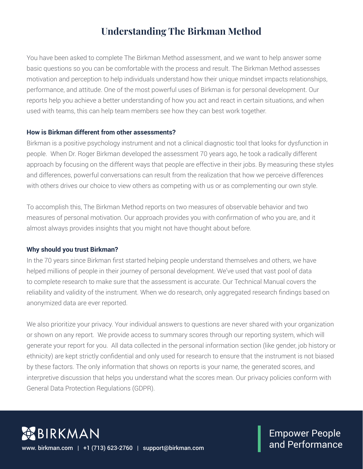# **Understanding The Birkman Method**

You have been asked to complete The Birkman Method assessment, and we want to help answer some basic questions so you can be comfortable with the process and result. The Birkman Method assesses motivation and perception to help individuals understand how their unique mindset impacts relationships, performance, and attitude. One of the most powerful uses of Birkman is for personal development. Our reports help you achieve a better understanding of how you act and react in certain situations, and when used with teams, this can help team members see how they can best work together.

#### **How is Birkman different from other assessments?**

Birkman is a positive psychology instrument and not a clinical diagnostic tool that looks for dysfunction in people. When Dr. Roger Birkman developed the assessment 70 years ago, he took a radically different approach by focusing on the different ways that people are effective in their jobs. By measuring these styles and differences, powerful conversations can result from the realization that how we perceive differences with others drives our choice to view others as competing with us or as complementing our own style.

To accomplish this, The Birkman Method reports on two measures of observable behavior and two measures of personal motivation. Our approach provides you with confirmation of who you are, and it almost always provides insights that you might not have thought about before.

#### **Why should you trust Birkman?**

In the 70 years since Birkman first started helping people understand themselves and others, we have helped millions of people in their journey of personal development. We've used that vast pool of data to complete research to make sure that the assessment is accurate. Our Technical Manual covers the reliability and validity of the instrument. When we do research, only aggregated research findings based on anonymized data are ever reported.

We also prioritize your privacy. Your individual answers to questions are never shared with your organization or shown on any report. We provide access to summary scores through our reporting system, which will generate your report for you. All data collected in the personal information section (like gender, job history or ethnicity) are kept strictly confidential and only used for research to ensure that the instrument is not biased by these factors. The only information that shows on reports is your name, the generated scores, and interpretive discussion that helps you understand what the scores mean. Our privacy policies conform with General Data Protection Regulations (GDPR).

**BIRKMAN** www. birkman.com | +1 (713) 623-2760 | support@birkman.com

Empower People